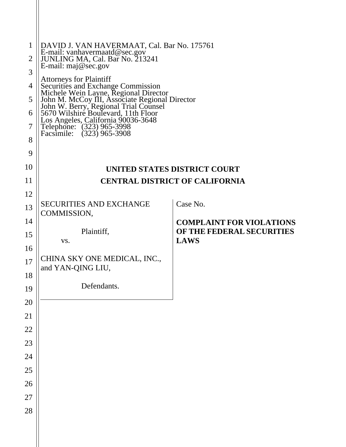| 1<br>2<br>3<br>4<br>5<br>6<br>7<br>8 | DAVID J. VAN HAVERMAAT, Cal. Bar No. 175761<br>E-mail: vanhavermaatd@sec.gov<br>JUNLING MA, Cal. Bar No. 213241<br>E-mail: $maj@sec.gov$<br>Attorneys for Plaintiff<br>Auorneys for Plantiful<br>Securities and Exchange Commission<br>Michele Wein Layne, Regional Director<br>John M. McCoy III, Associate Regional Director<br>John W. Berry, Regional Trial Counsel<br>5670 Wilshire Boulevard, 11th Floor<br>Los A |                                                                       |
|--------------------------------------|-------------------------------------------------------------------------------------------------------------------------------------------------------------------------------------------------------------------------------------------------------------------------------------------------------------------------------------------------------------------------------------------------------------------------|-----------------------------------------------------------------------|
| 9                                    |                                                                                                                                                                                                                                                                                                                                                                                                                         |                                                                       |
| 10<br>11                             |                                                                                                                                                                                                                                                                                                                                                                                                                         | UNITED STATES DISTRICT COURT<br><b>CENTRAL DISTRICT OF CALIFORNIA</b> |
| 12                                   |                                                                                                                                                                                                                                                                                                                                                                                                                         |                                                                       |
| 13                                   | <b>SECURITIES AND EXCHANGE</b>                                                                                                                                                                                                                                                                                                                                                                                          | Case No.                                                              |
| 14                                   | COMMISSION,                                                                                                                                                                                                                                                                                                                                                                                                             | <b>COMPLAINT FOR VIOLATIONS</b>                                       |
| 15                                   | Plaintiff,                                                                                                                                                                                                                                                                                                                                                                                                              | OF THE FEDERAL SECURITIES                                             |
| 16                                   | VS.                                                                                                                                                                                                                                                                                                                                                                                                                     | <b>LAWS</b>                                                           |
| 17                                   | CHINA SKY ONE MEDICAL, INC.,                                                                                                                                                                                                                                                                                                                                                                                            |                                                                       |
| 18                                   | and YAN-QING LIU,                                                                                                                                                                                                                                                                                                                                                                                                       |                                                                       |
| 19                                   | Defendants.                                                                                                                                                                                                                                                                                                                                                                                                             |                                                                       |
| 20                                   |                                                                                                                                                                                                                                                                                                                                                                                                                         |                                                                       |
| 21                                   |                                                                                                                                                                                                                                                                                                                                                                                                                         |                                                                       |
| 22                                   |                                                                                                                                                                                                                                                                                                                                                                                                                         |                                                                       |
| 23                                   |                                                                                                                                                                                                                                                                                                                                                                                                                         |                                                                       |
| 24                                   |                                                                                                                                                                                                                                                                                                                                                                                                                         |                                                                       |
| 25                                   |                                                                                                                                                                                                                                                                                                                                                                                                                         |                                                                       |
| 26                                   |                                                                                                                                                                                                                                                                                                                                                                                                                         |                                                                       |
| 27                                   |                                                                                                                                                                                                                                                                                                                                                                                                                         |                                                                       |
| 28                                   |                                                                                                                                                                                                                                                                                                                                                                                                                         |                                                                       |
|                                      |                                                                                                                                                                                                                                                                                                                                                                                                                         |                                                                       |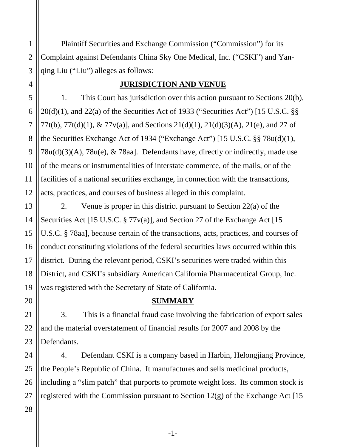Plaintiff Securities and Exchange Commission ("Commission") for its Complaint against Defendants China Sky One Medical, Inc. ("CSKI") and Yanqing Liu ("Liu") alleges as follows:

### **JURISDICTION AND VENUE**

1. This Court has jurisdiction over this action pursuant to Sections 20(b),  $20(d)(1)$ , and  $22(a)$  of the Securities Act of 1933 ("Securities Act") [15 U.S.C. §§ 77t(b), 77t(d)(1), & 77v(a)], and Sections 21(d)(1), 21(d)(3)(A), 21(e), and 27 of the Securities Exchange Act of 1934 ("Exchange Act") [15 U.S.C. §§ 78u(d)(1), 78u(d)(3)(A), 78u(e), & 78aa]. Defendants have, directly or indirectly, made use of the means or instrumentalities of interstate commerce, of the mails, or of the facilities of a national securities exchange, in connection with the transactions, acts, practices, and courses of business alleged in this complaint.

2. Venue is proper in this district pursuant to Section 22(a) of the Securities Act [15 U.S.C. § 77v(a)], and Section 27 of the Exchange Act [15 U.S.C. § 78aa], because certain of the transactions, acts, practices, and courses of conduct constituting violations of the federal securities laws occurred within this district. During the relevant period, CSKI's securities were traded within this District, and CSKI's subsidiary American California Pharmaceutical Group, Inc. was registered with the Secretary of State of California.

#### **SUMMARY**

3. This is a financial fraud case involving the fabrication of export sales and the material overstatement of financial results for 2007 and 2008 by the Defendants.

4. Defendant CSKI is a company based in Harbin, Helongjiang Province, the People's Republic of China. It manufactures and sells medicinal products, including a "slim patch" that purports to promote weight loss. Its common stock is registered with the Commission pursuant to Section  $12(g)$  of the Exchange Act [15]

1

2

3

4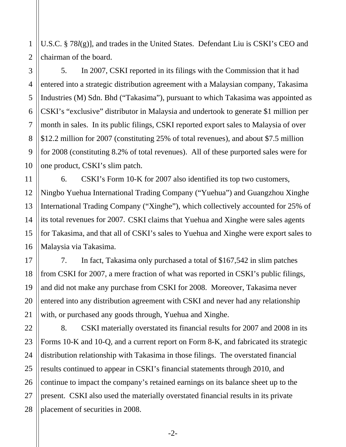U.S.C. § 78*l*(g)], and trades in the United States. Defendant Liu is CSKI's CEO and chairman of the board.

5. In 2007, CSKI reported in its filings with the Commission that it had entered into a strategic distribution agreement with a Malaysian company, Takasima Industries (M) Sdn. Bhd ("Takasima"), pursuant to which Takasima was appointed as CSKI's "exclusive" distributor in Malaysia and undertook to generate \$1 million per month in sales. In its public filings, CSKI reported export sales to Malaysia of over \$12.2 million for 2007 (constituting 25% of total revenues), and about \$7.5 million for 2008 (constituting 8.2% of total revenues). All of these purported sales were for one product, CSKI's slim patch.

6. CSKI's Form 10-K for 2007 also identified its top two customers, Ningbo Yuehua International Trading Company ("Yuehua") and Guangzhou Xinghe International Trading Company ("Xinghe"), which collectively accounted for 25% of its total revenues for 2007. CSKI claims that Yuehua and Xinghe were sales agents for Takasima, and that all of CSKI's sales to Yuehua and Xinghe were export sales to Malaysia via Takasima.

7. In fact, Takasima only purchased a total of \$167,542 in slim patches from CSKI for 2007, a mere fraction of what was reported in CSKI's public filings, and did not make any purchase from CSKI for 2008. Moreover, Takasima never entered into any distribution agreement with CSKI and never had any relationship with, or purchased any goods through, Yuehua and Xinghe.

8. CSKI materially overstated its financial results for 2007 and 2008 in its Forms 10-K and 10-Q, and a current report on Form 8-K, and fabricated its strategic distribution relationship with Takasima in those filings. The overstated financial results continued to appear in CSKI's financial statements through 2010, and continue to impact the company's retained earnings on its balance sheet up to the present. CSKI also used the materially overstated financial results in its private placement of securities in 2008.

1

2

-2-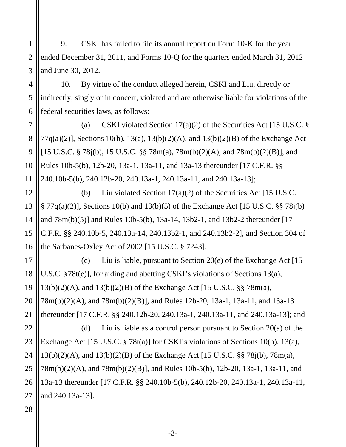9. CSKI has failed to file its annual report on Form 10-K for the year ended December 31, 2011, and Forms 10-Q for the quarters ended March 31, 2012 and June 30, 2012.

10. By virtue of the conduct alleged herein, CSKI and Liu, directly or indirectly, singly or in concert, violated and are otherwise liable for violations of the federal securities laws, as follows:

(a) CSKI violated Section  $17(a)(2)$  of the Securities Act [15 U.S.C. § 77q(a)(2)], Sections 10(b), 13(a), 13(b)(2)(A), and 13(b)(2)(B) of the Exchange Act [15 U.S.C. § 78j(b), 15 U.S.C. §§ 78m(a), 78m(b)(2)(A), and 78m(b)(2)(B)], and Rules 10b-5(b), 12b-20, 13a-1, 13a-11, and 13a-13 thereunder [17 C.F.R. §§ 240.10b-5(b), 240.12b-20, 240.13a-1, 240.13a-11, and 240.13a-13];

(b) Liu violated Section 17(a)(2) of the Securities Act [15 U.S.C. § 77q(a)(2)], Sections 10(b) and 13(b)(5) of the Exchange Act [15 U.S.C. §§ 78j(b) and 78m(b)(5)] and Rules 10b-5(b), 13a-14, 13b2-1, and 13b2-2 thereunder [17 C.F.R. §§ 240.10b-5, 240.13a-14, 240.13b2-1, and 240.13b2-2], and Section 304 of the Sarbanes-Oxley Act of 2002 [15 U.S.C. § 7243];

(c) Liu is liable, pursuant to Section 20(e) of the Exchange Act  $[15]$ U.S.C. §78t(e)], for aiding and abetting CSKI's violations of Sections 13(a), 13(b)(2)(A), and 13(b)(2)(B) of the Exchange Act [15 U.S.C. §§ 78m(a), 78m(b)(2)(A), and 78m(b)(2)(B)], and Rules 12b-20, 13a-1, 13a-11, and 13a-13 thereunder [17 C.F.R. §§ 240.12b-20, 240.13a-1, 240.13a-11, and 240.13a-13]; and (d) Liu is liable as a control person pursuant to Section 20(a) of the Exchange Act [15 U.S.C. § 78t(a)] for CSKI's violations of Sections 10(b), 13(a), 13(b)(2)(A), and 13(b)(2)(B) of the Exchange Act [15 U.S.C. §§ 78j(b), 78m(a), 78m(b)(2)(A), and 78m(b)(2)(B)], and Rules 10b-5(b), 12b-20, 13a-1, 13a-11, and 13a-13 thereunder [17 C.F.R. §§ 240.10b-5(b), 240.12b-20, 240.13a-1, 240.13a-11, and 240.13a-13].

28

1

2

3

4

5

6

7

8

9

10

11

12

13

14

15

16

17

18

19

20

21

22

23

24

25

26

27

-3-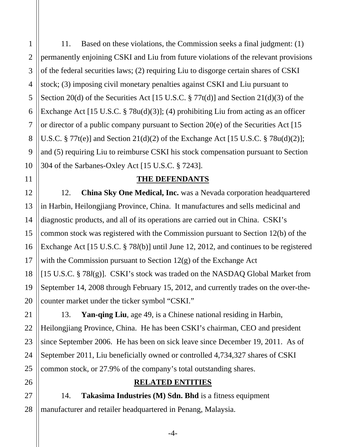1

11. Based on these violations, the Commission seeks a final judgment: (1) permanently enjoining CSKI and Liu from future violations of the relevant provisions of the federal securities laws; (2) requiring Liu to disgorge certain shares of CSKI stock; (3) imposing civil monetary penalties against CSKI and Liu pursuant to Section 20(d) of the Securities Act [15 U.S.C.  $\S 77t(d)$ ] and Section 21(d)(3) of the Exchange Act [15 U.S.C. § 78u(d)(3)]; (4) prohibiting Liu from acting as an officer or director of a public company pursuant to Section 20(e) of the Securities Act [15 U.S.C. § 77t(e)] and Section 21(d)(2) of the Exchange Act [15 U.S.C. § 78u(d)(2)]; and (5) requiring Liu to reimburse CSKI his stock compensation pursuant to Section 304 of the Sarbanes-Oxley Act [15 U.S.C. § 7243].

### **THE DEFENDANTS**

12. **China Sky One Medical, Inc.** was a Nevada corporation headquartered in Harbin, Heilongjiang Province, China. It manufactures and sells medicinal and diagnostic products, and all of its operations are carried out in China. CSKI's common stock was registered with the Commission pursuant to Section 12(b) of the Exchange Act [15 U.S.C. § 78*l*(b)] until June 12, 2012, and continues to be registered with the Commission pursuant to Section 12(g) of the Exchange Act [15 U.S.C. § 78*l*(g)]. CSKI's stock was traded on the NASDAQ Global Market from September 14, 2008 through February 15, 2012, and currently trades on the over-thecounter market under the ticker symbol "CSKI."

13. **Yan-qing Liu**, age 49, is a Chinese national residing in Harbin, Heilongjiang Province, China. He has been CSKI's chairman, CEO and president since September 2006. He has been on sick leave since December 19, 2011. As of September 2011, Liu beneficially owned or controlled 4,734,327 shares of CSKI common stock, or 27.9% of the company's total outstanding shares.

### **RELATED ENTITIES**

14. **Takasima Industries (M) Sdn. Bhd** is a fitness equipment manufacturer and retailer headquartered in Penang, Malaysia.

-4-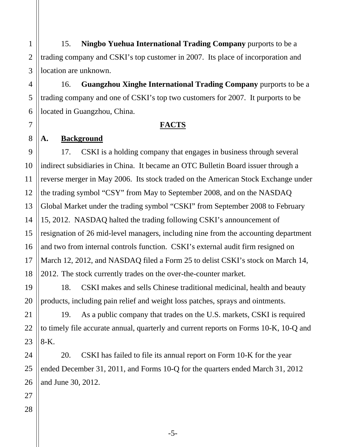15. **Ningbo Yuehua International Trading Company** purports to be a trading company and CSKI's top customer in 2007. Its place of incorporation and location are unknown.

16. **Guangzhou Xinghe International Trading Company** purports to be a trading company and one of CSKI's top two customers for 2007. It purports to be located in Guangzhou, China.

### **FACTS**

### **A. Background**

17. CSKI is a holding company that engages in business through several indirect subsidiaries in China. It became an OTC Bulletin Board issuer through a reverse merger in May 2006. Its stock traded on the American Stock Exchange under the trading symbol "CSY" from May to September 2008, and on the NASDAQ Global Market under the trading symbol "CSKI" from September 2008 to February 15, 2012. NASDAQ halted the trading following CSKI's announcement of resignation of 26 mid-level managers, including nine from the accounting department and two from internal controls function. CSKI's external audit firm resigned on March 12, 2012, and NASDAQ filed a Form 25 to delist CSKI's stock on March 14, 2012. The stock currently trades on the over-the-counter market.

18. CSKI makes and sells Chinese traditional medicinal, health and beauty products, including pain relief and weight loss patches, sprays and ointments.

19. As a public company that trades on the U.S. markets, CSKI is required to timely file accurate annual, quarterly and current reports on Forms 10-K, 10-Q and 8-K.

20. CSKI has failed to file its annual report on Form 10-K for the year ended December 31, 2011, and Forms 10-Q for the quarters ended March 31, 2012 and June 30, 2012.

1

2

3

4

-5-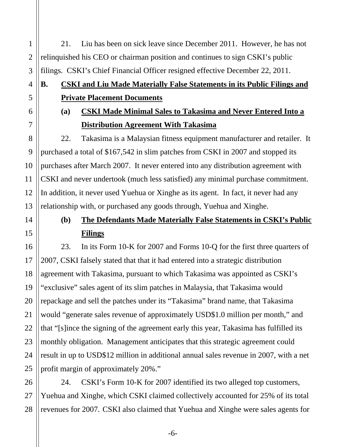21. Liu has been on sick leave since December 2011. However, he has not relinquished his CEO or chairman position and continues to sign CSKI's public filings. CSKI's Chief Financial Officer resigned effective December 22, 2011.

# **B. CSKI and Liu Made Materially False Statements in its Public Filings and Private Placement Documents**

# **(a) CSKI Made Minimal Sales to Takasima and Never Entered Into a Distribution Agreement With Takasima**

22. Takasima is a Malaysian fitness equipment manufacturer and retailer. It purchased a total of \$167,542 in slim patches from CSKI in 2007 and stopped its purchases after March 2007. It never entered into any distribution agreement with CSKI and never undertook (much less satisfied) any minimal purchase commitment. In addition, it never used Yuehua or Xinghe as its agent. In fact, it never had any relationship with, or purchased any goods through, Yuehua and Xinghe.

# **(b) The Defendants Made Materially False Statements in CSKI's Public Filings**

23. In its Form 10-K for 2007 and Forms 10-Q for the first three quarters of 2007, CSKI falsely stated that that it had entered into a strategic distribution agreement with Takasima, pursuant to which Takasima was appointed as CSKI's "exclusive" sales agent of its slim patches in Malaysia, that Takasima would repackage and sell the patches under its "Takasima" brand name, that Takasima would "generate sales revenue of approximately USD\$1.0 million per month," and that "[s]ince the signing of the agreement early this year, Takasima has fulfilled its monthly obligation. Management anticipates that this strategic agreement could result in up to USD\$12 million in additional annual sales revenue in 2007, with a net profit margin of approximately 20%."

24. CSKI's Form 10-K for 2007 identified its two alleged top customers, Yuehua and Xinghe, which CSKI claimed collectively accounted for 25% of its total revenues for 2007. CSKI also claimed that Yuehua and Xinghe were sales agents for

1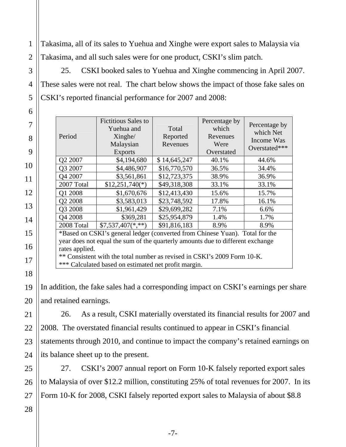Takasima, all of its sales to Yuehua and Xinghe were export sales to Malaysia via Takasima, and all such sales were for one product, CSKI's slim patch.

25. CSKI booked sales to Yuehua and Xinghe commencing in April 2007. These sales were not real. The chart below shows the impact of those fake sales on CSKI's reported financial performance for 2007 and 2008:

| Period                                                                                                                                                                                                                                                                                                               | <b>Fictitious Sales to</b><br>Yuehua and<br>Xinghe/<br>Malaysian<br><b>Exports</b> | Total<br>Reported<br>Revenues | Percentage by<br>which<br>Revenues<br>Were<br>Overstated | Percentage by<br>which Net<br>Income Was<br>Overstated*** |
|----------------------------------------------------------------------------------------------------------------------------------------------------------------------------------------------------------------------------------------------------------------------------------------------------------------------|------------------------------------------------------------------------------------|-------------------------------|----------------------------------------------------------|-----------------------------------------------------------|
| Q2 2007                                                                                                                                                                                                                                                                                                              | \$4,194,680                                                                        | \$14,645,247                  | 40.1%                                                    | 44.6%                                                     |
| Q3 2007                                                                                                                                                                                                                                                                                                              | \$4,486,907                                                                        | \$16,770,570                  | 36.5%                                                    | 34.4%                                                     |
| Q4 2007                                                                                                                                                                                                                                                                                                              | \$3,561,861                                                                        | \$12,723,375                  | 38.9%                                                    | 36.9%                                                     |
| 2007 Total                                                                                                                                                                                                                                                                                                           | $$12,251,740(*)$                                                                   | \$49,318,308                  | 33.1%                                                    | 33.1%                                                     |
| Q1 2008                                                                                                                                                                                                                                                                                                              | \$1,670,676                                                                        | \$12,413,430                  | 15.6%                                                    | 15.7%                                                     |
| Q2 2008                                                                                                                                                                                                                                                                                                              | \$3,583,013                                                                        | \$23,748,592                  | 17.8%                                                    | 16.1%                                                     |
| Q3 2008                                                                                                                                                                                                                                                                                                              | \$1,961,429                                                                        | \$29,699,282                  | 7.1%                                                     | 6.6%                                                      |
| Q4 2008                                                                                                                                                                                                                                                                                                              | \$369,281                                                                          | \$25,954,879                  | 1.4%                                                     | 1.7%                                                      |
| 2008 Total                                                                                                                                                                                                                                                                                                           | $$7,537,407(*, **)$                                                                | \$91,816,183                  | 8.9%                                                     | 8.9%                                                      |
| *Based on CSKI's general ledger (converted from Chinese Yuan). Total for the<br>year does not equal the sum of the quarterly amounts due to different exchange<br>rates applied.<br>** Consistent with the total number as revised in CSKI's 2009 Form 10-K.<br>*** Calculated based on estimated net profit margin. |                                                                                    |                               |                                                          |                                                           |

In addition, the fake sales had a corresponding impact on CSKI's earnings per share and retained earnings.

26. As a result, CSKI materially overstated its financial results for 2007 and 2008. The overstated financial results continued to appear in CSKI's financial statements through 2010, and continue to impact the company's retained earnings on its balance sheet up to the present.

27. CSKI's 2007 annual report on Form 10-K falsely reported export sales to Malaysia of over \$12.2 million, constituting 25% of total revenues for 2007. In its Form 10-K for 2008, CSKI falsely reported export sales to Malaysia of about \$8.8

1

2

3

4

5

6

7

8

9

10

11

12

13

14

15

16

17

18

19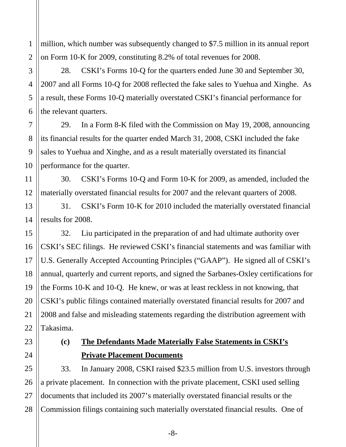million, which number was subsequently changed to \$7.5 million in its annual report on Form 10-K for 2009, constituting 8.2% of total revenues for 2008.

28. CSKI's Forms 10-Q for the quarters ended June 30 and September 30, 2007 and all Forms 10-Q for 2008 reflected the fake sales to Yuehua and Xinghe. As a result, these Forms 10-Q materially overstated CSKI's financial performance for the relevant quarters.

29. In a Form 8-K filed with the Commission on May 19, 2008, announcing its financial results for the quarter ended March 31, 2008, CSKI included the fake sales to Yuehua and Xinghe, and as a result materially overstated its financial performance for the quarter.

30. CSKI's Forms 10-Q and Form 10-K for 2009, as amended, included the materially overstated financial results for 2007 and the relevant quarters of 2008.

13 14 31. CSKI's Form 10-K for 2010 included the materially overstated financial results for 2008.

32. Liu participated in the preparation of and had ultimate authority over CSKI's SEC filings. He reviewed CSKI's financial statements and was familiar with U.S. Generally Accepted Accounting Principles ("GAAP"). He signed all of CSKI's annual, quarterly and current reports, and signed the Sarbanes-Oxley certifications for the Forms 10-K and 10-Q. He knew, or was at least reckless in not knowing, that CSKI's public filings contained materially overstated financial results for 2007 and 2008 and false and misleading statements regarding the distribution agreement with Takasima.

1

2

3

4

5

6

7

8

9

10

11

12

15

16

17

18

19

20

21

22

23

24

## **(c) The Defendants Made Materially False Statements in CSKI's Private Placement Documents**

25 26 27 28 33. In January 2008, CSKI raised \$23.5 million from U.S. investors through a private placement. In connection with the private placement, CSKI used selling documents that included its 2007's materially overstated financial results or the Commission filings containing such materially overstated financial results. One of

-8-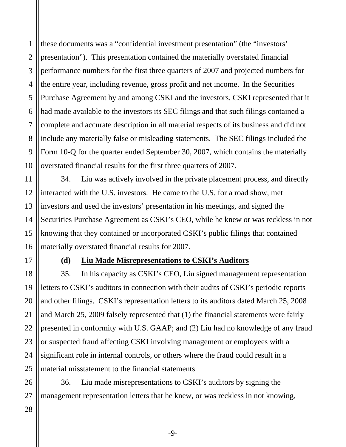2 3 4 5 6 7 8 9 10 these documents was a "confidential investment presentation" (the "investors' presentation"). This presentation contained the materially overstated financial performance numbers for the first three quarters of 2007 and projected numbers for the entire year, including revenue, gross profit and net income. In the Securities Purchase Agreement by and among CSKI and the investors, CSKI represented that it had made available to the investors its SEC filings and that such filings contained a complete and accurate description in all material respects of its business and did not include any materially false or misleading statements. The SEC filings included the Form 10-Q for the quarter ended September 30, 2007, which contains the materially overstated financial results for the first three quarters of 2007.

34. Liu was actively involved in the private placement process, and directly interacted with the U.S. investors. He came to the U.S. for a road show, met investors and used the investors' presentation in his meetings, and signed the Securities Purchase Agreement as CSKI's CEO, while he knew or was reckless in not knowing that they contained or incorporated CSKI's public filings that contained materially overstated financial results for 2007.

1

11

12

13

14

15

16

17

18

19

20

21

22

23

24

25

### **(d) Liu Made Misrepresentations to CSKI's Auditors**

35. In his capacity as CSKI's CEO, Liu signed management representation letters to CSKI's auditors in connection with their audits of CSKI's periodic reports and other filings. CSKI's representation letters to its auditors dated March 25, 2008 and March 25, 2009 falsely represented that (1) the financial statements were fairly presented in conformity with U.S. GAAP; and (2) Liu had no knowledge of any fraud or suspected fraud affecting CSKI involving management or employees with a significant role in internal controls, or others where the fraud could result in a material misstatement to the financial statements.

36. Liu made misrepresentations to CSKI's auditors by signing the management representation letters that he knew, or was reckless in not knowing,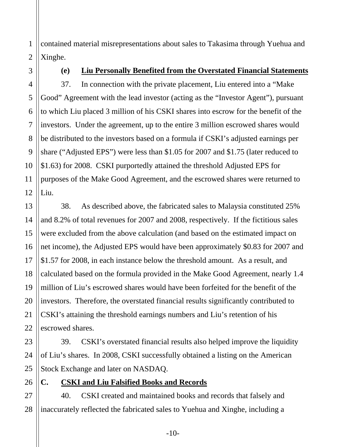contained material misrepresentations about sales to Takasima through Yuehua and Xinghe.

1

2

3

4

5

6

7

8

9

10

11

12

13

14

15

16

17

18

19

20

21

22

26

### **(e) Liu Personally Benefited from the Overstated Financial Statements**

37. In connection with the private placement, Liu entered into a "Make Good" Agreement with the lead investor (acting as the "Investor Agent"), pursuant to which Liu placed 3 million of his CSKI shares into escrow for the benefit of the investors. Under the agreement, up to the entire 3 million escrowed shares would be distributed to the investors based on a formula if CSKI's adjusted earnings per share ("Adjusted EPS") were less than \$1.05 for 2007 and \$1.75 (later reduced to \$1.63) for 2008. CSKI purportedly attained the threshold Adjusted EPS for purposes of the Make Good Agreement, and the escrowed shares were returned to Liu.

38. As described above, the fabricated sales to Malaysia constituted 25% and 8.2% of total revenues for 2007 and 2008, respectively. If the fictitious sales were excluded from the above calculation (and based on the estimated impact on net income), the Adjusted EPS would have been approximately \$0.83 for 2007 and \$1.57 for 2008, in each instance below the threshold amount. As a result, and calculated based on the formula provided in the Make Good Agreement, nearly 1.4 million of Liu's escrowed shares would have been forfeited for the benefit of the investors. Therefore, the overstated financial results significantly contributed to CSKI's attaining the threshold earnings numbers and Liu's retention of his escrowed shares.

23 24 25 39. CSKI's overstated financial results also helped improve the liquidity of Liu's shares. In 2008, CSKI successfully obtained a listing on the American Stock Exchange and later on NASDAQ.

### **C. CSKI and Liu Falsified Books and Records**

27 28 40. CSKI created and maintained books and records that falsely and inaccurately reflected the fabricated sales to Yuehua and Xinghe, including a

-10-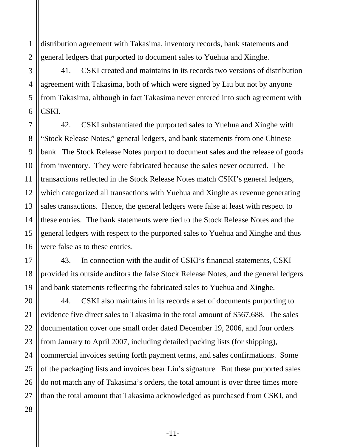distribution agreement with Takasima, inventory records, bank statements and general ledgers that purported to document sales to Yuehua and Xinghe.

41. CSKI created and maintains in its records two versions of distribution agreement with Takasima, both of which were signed by Liu but not by anyone from Takasima, although in fact Takasima never entered into such agreement with CSKI.

42. CSKI substantiated the purported sales to Yuehua and Xinghe with "Stock Release Notes," general ledgers, and bank statements from one Chinese bank. The Stock Release Notes purport to document sales and the release of goods from inventory. They were fabricated because the sales never occurred. The transactions reflected in the Stock Release Notes match CSKI's general ledgers, which categorized all transactions with Yuehua and Xinghe as revenue generating sales transactions. Hence, the general ledgers were false at least with respect to these entries. The bank statements were tied to the Stock Release Notes and the general ledgers with respect to the purported sales to Yuehua and Xinghe and thus were false as to these entries.

43. In connection with the audit of CSKI's financial statements, CSKI provided its outside auditors the false Stock Release Notes, and the general ledgers and bank statements reflecting the fabricated sales to Yuehua and Xinghe.

44. CSKI also maintains in its records a set of documents purporting to evidence five direct sales to Takasima in the total amount of \$567,688. The sales documentation cover one small order dated December 19, 2006, and four orders from January to April 2007, including detailed packing lists (for shipping), commercial invoices setting forth payment terms, and sales confirmations. Some of the packaging lists and invoices bear Liu's signature. But these purported sales do not match any of Takasima's orders, the total amount is over three times more than the total amount that Takasima acknowledged as purchased from CSKI, and

1

2

3

4

5

6

7

8

9

10

11

12

-11-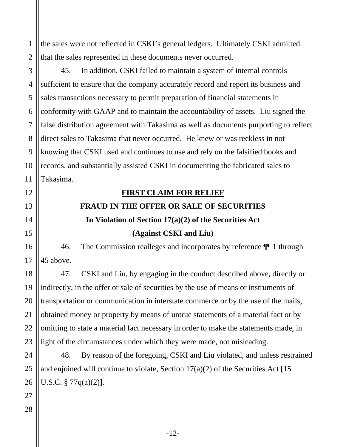the sales were not reflected in CSKI's general ledgers. Ultimately CSKI admitted that the sales represented in these documents never occurred.

45. In addition, CSKI failed to maintain a system of internal controls sufficient to ensure that the company accurately record and report its business and sales transactions necessary to permit preparation of financial statements in conformity with GAAP and to maintain the accountability of assets. Liu signed the false distribution agreement with Takasima as well as documents purporting to reflect direct sales to Takasima that never occurred. He knew or was reckless in not knowing that CSKI used and continues to use and rely on the falsified books and records, and substantially assisted CSKI in documenting the fabricated sales to Takasima.

### **FIRST CLAIM FOR RELIEF**

# **FRAUD IN THE OFFER OR SALE OF SECURITIES In Violation of Section 17(a)(2) of the Securities Act (Against CSKI and Liu)**

46. The Commission realleges and incorporates by reference ¶¶ 1 through 45 above.

47. CSKI and Liu, by engaging in the conduct described above, directly or indirectly, in the offer or sale of securities by the use of means or instruments of transportation or communication in interstate commerce or by the use of the mails, obtained money or property by means of untrue statements of a material fact or by omitting to state a material fact necessary in order to make the statements made, in light of the circumstances under which they were made, not misleading.

48. By reason of the foregoing, CSKI and Liu violated, and unless restrained and enjoined will continue to violate, Section  $17(a)(2)$  of the Securities Act [15] U.S.C. § 77q(a)(2)].

1

2

3

4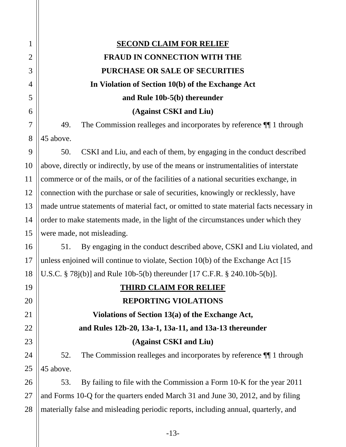1 2 3 4 5 6 7 8 9 10 11 12 13 14 15 16 17 18 19 20 21 22 23 24 25 26 27 28 **SECOND CLAIM FOR RELIEF FRAUD IN CONNECTION WITH THE PURCHASE OR SALE OF SECURITIES In Violation of Section 10(b) of the Exchange Act and Rule 10b-5(b) thereunder (Against CSKI and Liu)**  49. The Commission realleges and incorporates by reference ¶¶ 1 through 45 above. 50. CSKI and Liu, and each of them, by engaging in the conduct described above, directly or indirectly, by use of the means or instrumentalities of interstate commerce or of the mails, or of the facilities of a national securities exchange, in connection with the purchase or sale of securities, knowingly or recklessly, have made untrue statements of material fact, or omitted to state material facts necessary in order to make statements made, in the light of the circumstances under which they were made, not misleading. 51. By engaging in the conduct described above, CSKI and Liu violated, and unless enjoined will continue to violate, Section 10(b) of the Exchange Act [15 U.S.C. § 78j(b)] and Rule 10b-5(b) thereunder [17 C.F.R. § 240.10b-5(b)]. **THIRD CLAIM FOR RELIEF REPORTING VIOLATIONS Violations of Section 13(a) of the Exchange Act, and Rules 12b-20, 13a-1, 13a-11, and 13a-13 thereunder (Against CSKI and Liu)**  52. The Commission realleges and incorporates by reference ¶¶ 1 through 45 above. 53. By failing to file with the Commission a Form 10-K for the year 2011 and Forms 10-Q for the quarters ended March 31 and June 30, 2012, and by filing materially false and misleading periodic reports, including annual, quarterly, and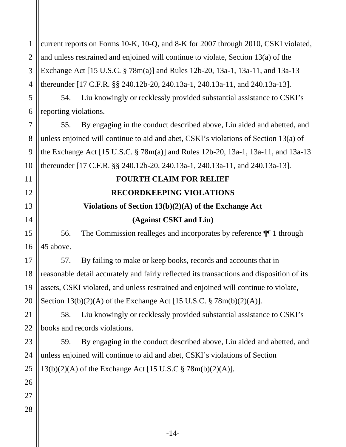| $\mathbf{1}$   | current reports on Forms 10-K, 10-Q, and 8-K for 2007 through 2010, CSKI violated,        |  |  |
|----------------|-------------------------------------------------------------------------------------------|--|--|
| $\overline{2}$ | and unless restrained and enjoined will continue to violate, Section 13(a) of the         |  |  |
| 3              | Exchange Act [15 U.S.C. § 78m(a)] and Rules 12b-20, 13a-1, 13a-11, and 13a-13             |  |  |
| $\overline{4}$ | thereunder [17 C.F.R. §§ 240.12b-20, 240.13a-1, 240.13a-11, and 240.13a-13].              |  |  |
| 5              | Liu knowingly or recklessly provided substantial assistance to CSKI's<br>54.              |  |  |
| 6              | reporting violations.                                                                     |  |  |
| $\overline{7}$ | By engaging in the conduct described above, Liu aided and abetted, and<br>55.             |  |  |
| 8              | unless enjoined will continue to aid and abet, CSKI's violations of Section 13(a) of      |  |  |
| 9              | the Exchange Act [15 U.S.C. § 78m(a)] and Rules 12b-20, 13a-1, 13a-11, and 13a-13         |  |  |
| 10             | thereunder [17 C.F.R. §§ 240.12b-20, 240.13a-1, 240.13a-11, and 240.13a-13].              |  |  |
| 11             | <b>FOURTH CLAIM FOR RELIEF</b>                                                            |  |  |
| 12             | <b>RECORDKEEPING VIOLATIONS</b>                                                           |  |  |
| 13             | Violations of Section $13(b)(2)(A)$ of the Exchange Act                                   |  |  |
| 14             | (Against CSKI and Liu)                                                                    |  |  |
| 15             | The Commission realleges and incorporates by reference $\P$ 1 through<br>56.              |  |  |
| 16             | 45 above.                                                                                 |  |  |
| 17             | By failing to make or keep books, records and accounts that in<br>57.                     |  |  |
| 18             | reasonable detail accurately and fairly reflected its transactions and disposition of its |  |  |
| 19             | assets, CSKI violated, and unless restrained and enjoined will continue to violate,       |  |  |
| 20             | Section 13(b)(2)(A) of the Exchange Act [15 U.S.C. § 78m(b)(2)(A)].                       |  |  |
| 21             | Liu knowingly or recklessly provided substantial assistance to CSKI's<br>58.              |  |  |
| 22             | books and records violations.                                                             |  |  |
| 23             | By engaging in the conduct described above, Liu aided and abetted, and<br>59.             |  |  |
| 24             | unless enjoined will continue to aid and abet, CSKI's violations of Section               |  |  |
| 25             | 13(b)(2)(A) of the Exchange Act [15 U.S.C § 78m(b)(2)(A)].                                |  |  |
| 26             |                                                                                           |  |  |
| 27             |                                                                                           |  |  |
| 28             |                                                                                           |  |  |
|                |                                                                                           |  |  |
|                | $-14-$                                                                                    |  |  |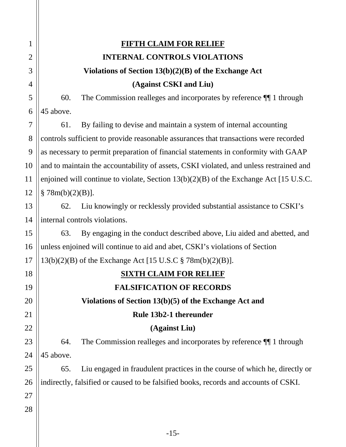| 1              | <b>FIFTH CLAIM FOR RELIEF</b>                                                           |  |  |
|----------------|-----------------------------------------------------------------------------------------|--|--|
| $\overline{2}$ | <b>INTERNAL CONTROLS VIOLATIONS</b>                                                     |  |  |
| 3              | Violations of Section $13(b)(2)(B)$ of the Exchange Act                                 |  |  |
| 4              | (Against CSKI and Liu)                                                                  |  |  |
| 5              | 60.<br>The Commission realleges and incorporates by reference $\P$ 1 through            |  |  |
| 6              | 45 above.                                                                               |  |  |
| $\overline{7}$ | By failing to devise and maintain a system of internal accounting<br>61.                |  |  |
| 8              | controls sufficient to provide reasonable assurances that transactions were recorded    |  |  |
| 9              | as necessary to permit preparation of financial statements in conformity with GAAP      |  |  |
| 10             | and to maintain the accountability of assets, CSKI violated, and unless restrained and  |  |  |
| 11             | enjoined will continue to violate, Section $13(b)(2)(B)$ of the Exchange Act [15 U.S.C. |  |  |
| 12             | § 78m(b)(2)(B)].                                                                        |  |  |
| 13             | 62.<br>Liu knowingly or recklessly provided substantial assistance to CSKI's            |  |  |
| 14             | internal controls violations.                                                           |  |  |
| 15             | By engaging in the conduct described above, Liu aided and abetted, and<br>63.           |  |  |
| 16             | unless enjoined will continue to aid and abet, CSKI's violations of Section             |  |  |
| 17             | $13(b)(2)(B)$ of the Exchange Act [15 U.S.C § 78m(b)(2)(B)].                            |  |  |
| 18             | <b>SIXTH CLAIM FOR RELIEF</b>                                                           |  |  |
| 19             | <b>FALSIFICATION OF RECORDS</b>                                                         |  |  |
| 20             | Violations of Section $13(b)(5)$ of the Exchange Act and                                |  |  |
| 21             | Rule 13b2-1 thereunder                                                                  |  |  |
| 22             | (Against Liu)                                                                           |  |  |
| 23             | The Commission realleges and incorporates by reference $\P$ 1 through<br>64.            |  |  |
| 24             | 45 above.                                                                               |  |  |
| 25             | Liu engaged in fraudulent practices in the course of which he, directly or<br>65.       |  |  |
| 26             | indirectly, falsified or caused to be falsified books, records and accounts of CSKI.    |  |  |
| 27             |                                                                                         |  |  |
| 28             |                                                                                         |  |  |
|                |                                                                                         |  |  |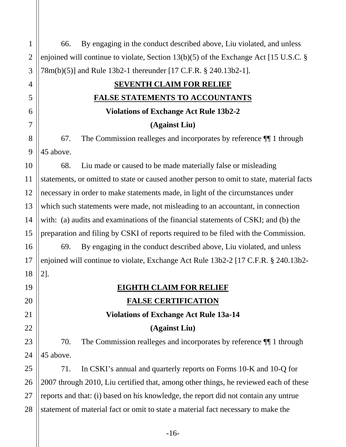| $\mathbf{1}$   | By engaging in the conduct described above, Liu violated, and unless<br>66.               |  |  |
|----------------|-------------------------------------------------------------------------------------------|--|--|
| $\overline{2}$ | enjoined will continue to violate, Section $13(b)(5)$ of the Exchange Act [15 U.S.C. §    |  |  |
| 3              | 78m(b)(5)] and Rule 13b2-1 thereunder [17 C.F.R. § 240.13b2-1].                           |  |  |
| $\overline{4}$ | <b>SEVENTH CLAIM FOR RELIEF</b>                                                           |  |  |
| 5              | FALSE STATEMENTS TO ACCOUNTANTS                                                           |  |  |
| 6              | <b>Violations of Exchange Act Rule 13b2-2</b>                                             |  |  |
| 7              | (Against Liu)                                                                             |  |  |
| 8              | The Commission realleges and incorporates by reference $\P$ 1 through<br>67.              |  |  |
| 9              | 45 above.                                                                                 |  |  |
| 10             | 68.<br>Liu made or caused to be made materially false or misleading                       |  |  |
| 11             | statements, or omitted to state or caused another person to omit to state, material facts |  |  |
| 12             | necessary in order to make statements made, in light of the circumstances under           |  |  |
| 13             | which such statements were made, not misleading to an accountant, in connection           |  |  |
| 14             | with: (a) audits and examinations of the financial statements of CSKI; and (b) the        |  |  |
| 15             | preparation and filing by CSKI of reports required to be filed with the Commission.       |  |  |
| 16             | By engaging in the conduct described above, Liu violated, and unless<br>69.               |  |  |
| 17             | enjoined will continue to violate, Exchange Act Rule 13b2-2 [17 C.F.R. § 240.13b2-        |  |  |
| 18             | 2].                                                                                       |  |  |
| 19             | <b>EIGHTH CLAIM FOR RELIEF</b>                                                            |  |  |
| 20             | <b>FALSE CERTIFICATION</b>                                                                |  |  |
| 21             | <b>Violations of Exchange Act Rule 13a-14</b>                                             |  |  |
| 22             | (Against Liu)                                                                             |  |  |
| 23             | The Commission realleges and incorporates by reference $\P$ 1 through<br>70.              |  |  |
| 24             | 45 above.                                                                                 |  |  |
| 25             | In CSKI's annual and quarterly reports on Forms 10-K and 10-Q for<br>71.                  |  |  |
| 26             | 2007 through 2010, Liu certified that, among other things, he reviewed each of these      |  |  |
| 27             | reports and that: (i) based on his knowledge, the report did not contain any untrue       |  |  |
| 28             | statement of material fact or omit to state a material fact necessary to make the         |  |  |
|                |                                                                                           |  |  |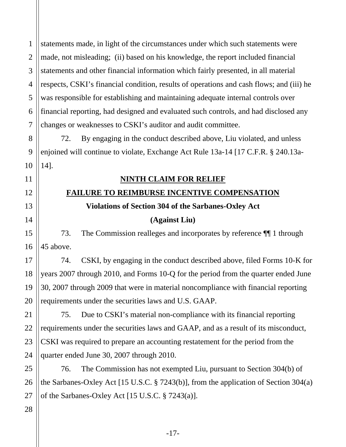1 2 3 4 5 6 7 statements made, in light of the circumstances under which such statements were made, not misleading; (ii) based on his knowledge, the report included financial statements and other financial information which fairly presented, in all material respects, CSKI's financial condition, results of operations and cash flows; and (iii) he was responsible for establishing and maintaining adequate internal controls over financial reporting, had designed and evaluated such controls, and had disclosed any changes or weaknesses to CSKI's auditor and audit committee.

72. By engaging in the conduct described above, Liu violated, and unless enjoined will continue to violate, Exchange Act Rule 13a-14 [17 C.F.R. § 240.13a-14].

## **NINTH CLAIM FOR RELIEF**

### **FAILURE TO REIMBURSE INCENTIVE COMPENSATION**

### **Violations of Section 304 of the Sarbanes-Oxley Act**

## **(Against Liu)**

73. The Commission realleges and incorporates by reference ¶¶ 1 through 45 above.

74. CSKI, by engaging in the conduct described above, filed Forms 10-K for years 2007 through 2010, and Forms 10-Q for the period from the quarter ended June 30, 2007 through 2009 that were in material noncompliance with financial reporting requirements under the securities laws and U.S. GAAP.

75. Due to CSKI's material non-compliance with its financial reporting requirements under the securities laws and GAAP, and as a result of its misconduct, CSKI was required to prepare an accounting restatement for the period from the quarter ended June 30, 2007 through 2010.

76. The Commission has not exempted Liu, pursuant to Section 304(b) of the Sarbanes-Oxley Act [15 U.S.C. § 7243(b)], from the application of Section 304(a) of the Sarbanes-Oxley Act [15 U.S.C. § 7243(a)].

# 25 26 27 28

8

9

10

11

12

13

14

15

16

17

18

19

20

21

22

23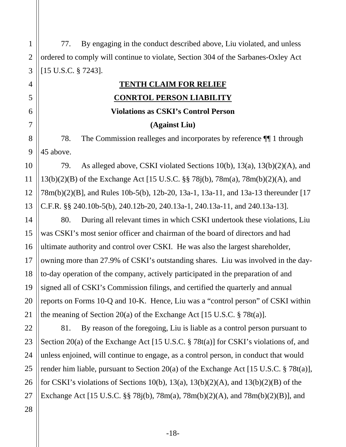77. By engaging in the conduct described above, Liu violated, and unless ordered to comply will continue to violate, Section 304 of the Sarbanes-Oxley Act [15 U.S.C. § 7243].

# **TENTH CLAIM FOR RELIEF CONRTOL PERSON LIABILITY**

### **Violations as CSKI's Control Person**

### **(Against Liu)**

78. The Commission realleges and incorporates by reference ¶¶ 1 through 45 above.

79. As alleged above, CSKI violated Sections 10(b), 13(a), 13(b)(2)(A), and 13(b)(2)(B) of the Exchange Act [15 U.S.C. §§ 78j(b), 78m(a), 78m(b)(2)(A), and 78m(b)(2)(B], and Rules 10b-5(b), 12b-20, 13a-1, 13a-11, and 13a-13 thereunder [17 C.F.R. §§ 240.10b-5(b), 240.12b-20, 240.13a-1, 240.13a-11, and 240.13a-13].

80. During all relevant times in which CSKI undertook these violations, Liu was CSKI's most senior officer and chairman of the board of directors and had ultimate authority and control over CSKI. He was also the largest shareholder, owning more than 27.9% of CSKI's outstanding shares. Liu was involved in the dayto-day operation of the company, actively participated in the preparation of and signed all of CSKI's Commission filings, and certified the quarterly and annual reports on Forms 10-Q and 10-K. Hence, Liu was a "control person" of CSKI within the meaning of Section 20(a) of the Exchange Act [15 U.S.C. § 78t(a)].

81. By reason of the foregoing, Liu is liable as a control person pursuant to Section 20(a) of the Exchange Act [15 U.S.C. § 78t(a)] for CSKI's violations of, and unless enjoined, will continue to engage, as a control person, in conduct that would render him liable, pursuant to Section 20(a) of the Exchange Act [15 U.S.C. § 78t(a)], for CSKI's violations of Sections 10(b),  $13(a)$ ,  $13(b)(2)(A)$ , and  $13(b)(2)(B)$  of the Exchange Act [15 U.S.C. §§ 78j(b), 78m(a), 78m(b)(2)(A), and 78m(b)(2)(B)], and

1

2

3

4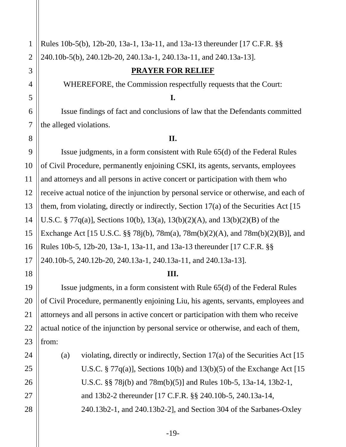28

Rules 10b-5(b), 12b-20, 13a-1, 13a-11, and 13a-13 thereunder [17 C.F.R. §§ 240.10b-5(b), 240.12b-20, 240.13a-1, 240.13a-11, and 240.13a-13].

### **PRAYER FOR RELIEF**

WHEREFORE, the Commission respectfully requests that the Court:

**I.** 

 Issue findings of fact and conclusions of law that the Defendants committed the alleged violations.

### **II.**

 Issue judgments, in a form consistent with Rule 65(d) of the Federal Rules of Civil Procedure, permanently enjoining CSKI, its agents, servants, employees and attorneys and all persons in active concert or participation with them who receive actual notice of the injunction by personal service or otherwise, and each of them, from violating, directly or indirectly, Section 17(a) of the Securities Act [15 U.S.C. § 77q(a)], Sections 10(b), 13(a), 13(b)(2)(A), and 13(b)(2)(B) of the Exchange Act [15 U.S.C. §§ 78j(b), 78m(a), 78m(b)(2)(A), and 78m(b)(2)(B)], and Rules 10b-5, 12b-20, 13a-1, 13a-11, and 13a-13 thereunder [17 C.F.R. §§ 240.10b-5, 240.12b-20, 240.13a-1, 240.13a-11, and 240.13a-13].

### **III.**

 Issue judgments, in a form consistent with Rule 65(d) of the Federal Rules of Civil Procedure, permanently enjoining Liu, his agents, servants, employees and attorneys and all persons in active concert or participation with them who receive actual notice of the injunction by personal service or otherwise, and each of them, from:

(a) violating, directly or indirectly, Section  $17(a)$  of the Securities Act  $[15]$ U.S.C. § 77 $q(a)$ ], Sections 10(b) and 13(b)(5) of the Exchange Act [15] U.S.C. §§ 78j(b) and 78m(b)(5)] and Rules 10b-5, 13a-14, 13b2-1, and 13b2-2 thereunder [17 C.F.R. §§ 240.10b-5, 240.13a-14, 240.13b2-1, and 240.13b2-2], and Section 304 of the Sarbanes-Oxley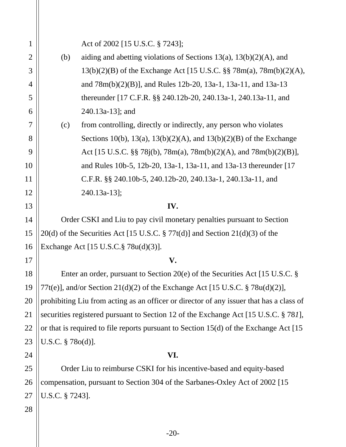Act of 2002 [15 U.S.C. § 7243]; (b) aiding and abetting violations of Sections  $13(a)$ ,  $13(b)(2)(A)$ , and 13(b)(2)(B) of the Exchange Act [15 U.S.C. §§ 78m(a), 78m(b)(2)(A), and 78m(b)(2)(B)], and Rules 12b-20, 13a-1, 13a-11, and 13a-13 thereunder [17 C.F.R. §§ 240.12b-20, 240.13a-1, 240.13a-11, and 240.13a-13]; and (c) from controlling, directly or indirectly, any person who violates Sections 10(b), 13(a), 13(b)(2)(A), and 13(b)(2)(B) of the Exchange Act [15 U.S.C. §§ 78j(b), 78m(a), 78m(b)(2)(A), and 78m(b)(2)(B)], and Rules 10b-5, 12b-20, 13a-1, 13a-11, and 13a-13 thereunder [17 C.F.R. §§ 240.10b-5, 240.12b-20, 240.13a-1, 240.13a-11, and 240.13a-13]; **IV.**  Order CSKI and Liu to pay civil monetary penalties pursuant to Section 20(d) of the Securities Act [15 U.S.C.  $\S 77t(d)$ ] and Section 21(d)(3) of the Exchange Act [15 U.S.C.§ 78u(d)(3)]. **V.** Enter an order, pursuant to Section 20(e) of the Securities Act [15 U.S.C. § 77t(e)], and/or Section 21(d)(2) of the Exchange Act [15 U.S.C. § 78u(d)(2)], prohibiting Liu from acting as an officer or director of any issuer that has a class of securities registered pursuant to Section 12 of the Exchange Act [15 U.S.C. § 78*1*],

or that is required to file reports pursuant to Section 15(d) of the Exchange Act [15 U.S.C. § 78o(d)].

#### **VI.**

 Order Liu to reimburse CSKI for his incentive-based and equity-based compensation, pursuant to Section 304 of the Sarbanes-Oxley Act of 2002 [15 U.S.C. § 7243].

27 28

1

2

3

4

5

6

7

8

9

10

11

12

13

14

15

16

17

18

19

20

21

22

23

24

25

26

-20-